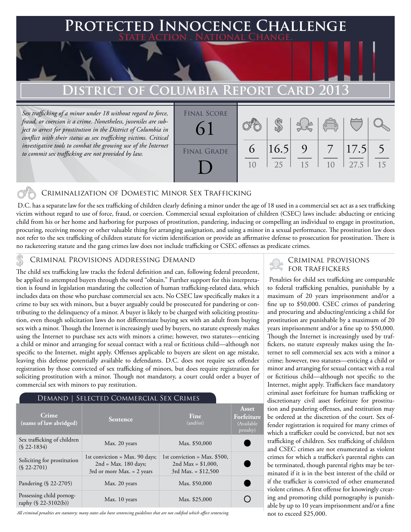# **FECTED INNOCENCE CHALLENGE State Action . National Change.**

# **DISTRICT OF COLUMBIA REPORT CARD 20**

*Sex trafficking of a minor under 18 without regard to force, fraud, or coercion is a crime. Nonetheless, juveniles are subject to arrest for prostitution in the District of Columbia in conflict with their status as sex trafficking victims. Critical*  investigative tools to combat the growing use of the Internet *to commit sex trafficking are not provided by law.*



## Criminalization of Domestic Minor Sex Trafficking

 D.C. has a separate law for the sex trafficking of children clearly defining a minor under the age of 18 used in a commercial sex act as a sex trafficking victim without regard to use of force, fraud, or coercion. Commercial sexual exploitation of children (CSEC) laws include: abducting or enticing child from his or her home and harboring for purposes of prostitution, pandering, inducing or compelling an individual to engage in prostitution, procuring, receiving money or other valuable thing for arranging assignation, and using a minor in a sexual performance. The prostitution law does not refer to the sex trafficking of children statute for victim identification or provide an affirmative defense to prosecution for prostitution. There is no racketeering statute and the gang crimes law does not include trafficking or CSEC offenses as predicate crimes.

## Criminal Provisions Addressing Demand

The child sex trafficking law tracks the federal definition and can, following federal precedent, be applied to attempted buyers through the word "obtain." Further support for this interpretation is found in legislation mandating the collection of human trafficking-related data, which includes data on those who purchase commercial sex acts. No CSEC law specifically makes it a crime to buy sex with minors, but a buyer arguably could be prosecuted for pandering or contributing to the delinquency of a minor. A buyer is likely to be charged with soliciting prostitution, even though solicitation laws do not differentiate buying sex with an adult from buying sex with a minor. Though the Internet is increasingly used by buyers, no statute expressly makes using the Internet to purchase sex acts with minors a crime; however, two statutes—enticing a child or minor and arranging for sexual contact with a real or fictitious child—although not specific to the Internet, might apply. Offenses applicable to buyers are silent on age mistake, leaving this defense potentially available to defendants. D.C. does not require sex offender registration by those convicted of sex trafficking of minors, but does require registration for soliciting prostitution with a minor. Though not mandatory, a court could order a buyer of commercial sex with minors to pay restitution.

#### Demand | Selected Commercial Sex Crimes

| Crime<br>(name of law abridged)                  | <b>Sentence</b>                                                                                     | Fine<br>(and/or)                                                                | Asset<br>Forfeiture<br>(Available<br>penalty) |
|--------------------------------------------------|-----------------------------------------------------------------------------------------------------|---------------------------------------------------------------------------------|-----------------------------------------------|
| Sex trafficking of children<br>$(S$ 22-1834)     | Max. 20 years                                                                                       | Max. \$50,000                                                                   |                                               |
| Soliciting for prostitution<br>$(S$ 22-2701)     | 1st conviction = $Max. 90 \text{ days}$ ;<br>$2nd = Max. 180 days;$<br>3rd or more Max. $= 2$ years | 1st conviction = Max. $$500$ ,<br>2nd Max = $$1,000$ ,<br>$3rd$ Max. = \$12,500 |                                               |
| Pandering (§ 22-2705)                            | Max. 20 years                                                                                       | Max. \$50,000                                                                   |                                               |
| Possessing child pornog-<br>raphy (§ 22-3102(b)) | Max. 10 years                                                                                       | Max. \$25,000                                                                   |                                               |

*All criminal penalties are statutory; many states also have sentencing guidelines that are not codified which affect sentencing.* 

### Criminal provisions for traffickers

 Penalties for child sex trafficking are comparable to federal trafficking penalties, punishable by a maximum of 20 years imprisonment and/or a fine up to \$50,000. CSEC crimes of pandering and procuring and abducting/enticing a child for prostitution are punishable by a maximum of 20 years imprisonment and/or a fine up to \$50,000. Though the Internet is increasingly used by traffickers, no statute expressly makes using the Internet to sell commercial sex acts with a minor a crime; however, two statutes—enticing a child or minor and arranging for sexual contact with a real or fictitious child—although not specific to the Internet, might apply. Traffickers face mandatory criminal asset forfeiture for human trafficking or discretionary civil asset forfeiture for prostitution and pandering offenses, and restitution may be ordered at the discretion of the court. Sex offender registration is required for many crimes of which a trafficker could be convicted, but not sex trafficking of children. Sex trafficking of children and CSEC crimes are not enumerated as violent crimes for which a trafficker's parental rights can be terminated, though parental rights may be terminated if it is in the best interest of the child or if the trafficker is convicted of other enumerated violent crimes. A first offense for knowingly creating and promoting child pornography is punishable by up to 10 years imprisonment and/or a fine not to exceed \$25,000.